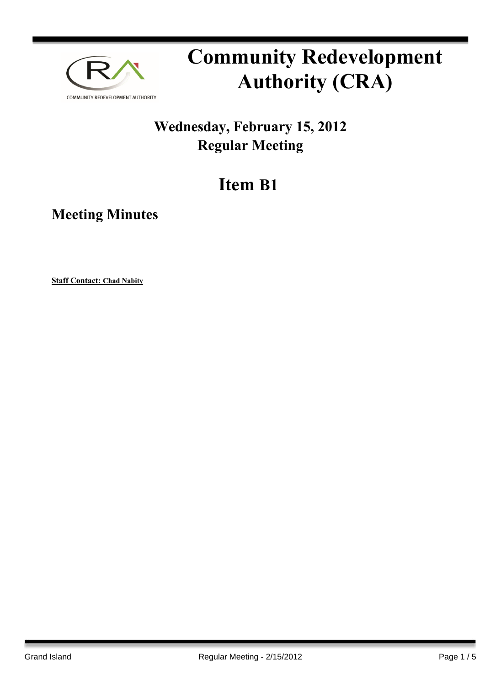

# **Community Redevelopment Authority (CRA)**

### **Wednesday, February 15, 2012 Regular Meeting**

## **Item B1**

**Meeting Minutes**

**Staff Contact: Chad Nabity**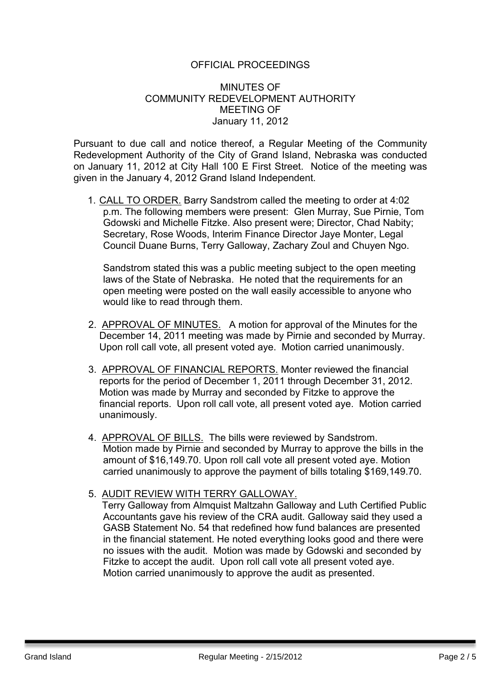#### OFFICIAL PROCEEDINGS

#### MINUTES OF COMMUNITY REDEVELOPMENT AUTHORITY MEETING OF January 11, 2012

Pursuant to due call and notice thereof, a Regular Meeting of the Community Redevelopment Authority of the City of Grand Island, Nebraska was conducted on January 11, 2012 at City Hall 100 E First Street. Notice of the meeting was given in the January 4, 2012 Grand Island Independent.

1. CALL TO ORDER. Barry Sandstrom called the meeting to order at 4:02 p.m. The following members were present: Glen Murray, Sue Pirnie, Tom Gdowski and Michelle Fitzke. Also present were; Director, Chad Nabity; Secretary, Rose Woods, Interim Finance Director Jaye Monter, Legal Council Duane Burns, Terry Galloway, Zachary Zoul and Chuyen Ngo.

Sandstrom stated this was a public meeting subject to the open meeting laws of the State of Nebraska. He noted that the requirements for an open meeting were posted on the wall easily accessible to anyone who would like to read through them.

- 2. APPROVAL OF MINUTES. A motion for approval of the Minutes for the December 14, 2011 meeting was made by Pirnie and seconded by Murray. Upon roll call vote, all present voted aye. Motion carried unanimously.
- 3. APPROVAL OF FINANCIAL REPORTS. Monter reviewed the financial reports for the period of December 1, 2011 through December 31, 2012. Motion was made by Murray and seconded by Fitzke to approve the financial reports. Upon roll call vote, all present voted aye. Motion carried unanimously.
- 4. APPROVAL OF BILLS. The bills were reviewed by Sandstrom. Motion made by Pirnie and seconded by Murray to approve the bills in the amount of \$16,149.70. Upon roll call vote all present voted aye. Motion carried unanimously to approve the payment of bills totaling \$169,149.70.
- 5. AUDIT REVIEW WITH TERRY GALLOWAY.

Terry Galloway from Almquist Maltzahn Galloway and Luth Certified Public Accountants gave his review of the CRA audit. Galloway said they used a GASB Statement No. 54 that redefined how fund balances are presented in the financial statement. He noted everything looks good and there were no issues with the audit. Motion was made by Gdowski and seconded by Fitzke to accept the audit. Upon roll call vote all present voted aye. Motion carried unanimously to approve the audit as presented.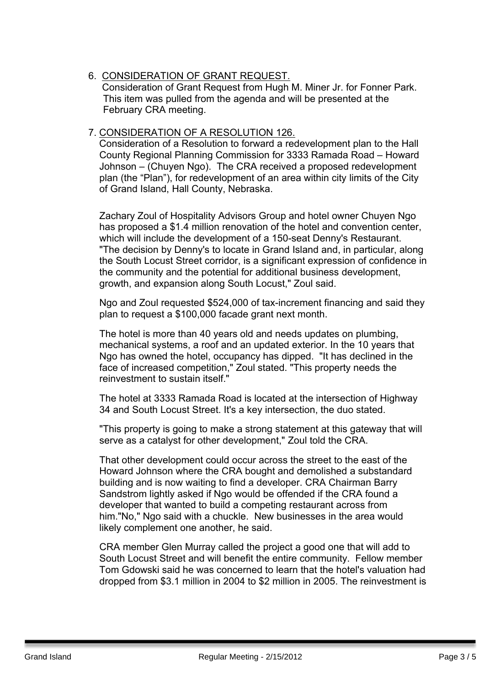6. CONSIDERATION OF GRANT REQUEST. Consideration of Grant Request from Hugh M. Miner Jr. for Fonner Park. This item was pulled from the agenda and will be presented at the February CRA meeting.

#### 7. CONSIDERATION OF A RESOLUTION 126.

 Consideration of a Resolution to forward a redevelopment plan to the Hall County Regional Planning Commission for 3333 Ramada Road – Howard Johnson – (Chuyen Ngo). The CRA received a proposed redevelopment plan (the "Plan"), for redevelopment of an area within city limits of the City of Grand Island, Hall County, Nebraska.

Zachary Zoul of Hospitality Advisors Group and hotel owner Chuyen Ngo has proposed a \$1.4 million renovation of the hotel and convention center, which will include the development of a 150-seat Denny's Restaurant. "The decision by Denny's to locate in Grand Island and, in particular, along the South Locust Street corridor, is a significant expression of confidence in the community and the potential for additional business development, growth, and expansion along South Locust," Zoul said.

Ngo and Zoul requested \$524,000 of tax-increment financing and said they plan to request a \$100,000 facade grant next month.

The hotel is more than 40 years old and needs updates on plumbing, mechanical systems, a roof and an updated exterior. In the 10 years that Ngo has owned the hotel, occupancy has dipped. "It has declined in the face of increased competition," Zoul stated. "This property needs the reinvestment to sustain itself."

The hotel at 3333 Ramada Road is located at the intersection of Highway 34 and South Locust Street. It's a key intersection, the duo stated.

"This property is going to make a strong statement at this gateway that will serve as a catalyst for other development," Zoul told the CRA.

That other development could occur across the street to the east of the Howard Johnson where the CRA bought and demolished a substandard building and is now waiting to find a developer. CRA Chairman Barry Sandstrom lightly asked if Ngo would be offended if the CRA found a developer that wanted to build a competing restaurant across from him."No," Ngo said with a chuckle. New businesses in the area would likely complement one another, he said.

CRA member Glen Murray called the project a good one that will add to South Locust Street and will benefit the entire community. Fellow member Tom Gdowski said he was concerned to learn that the hotel's valuation had dropped from \$3.1 million in 2004 to \$2 million in 2005. The reinvestment is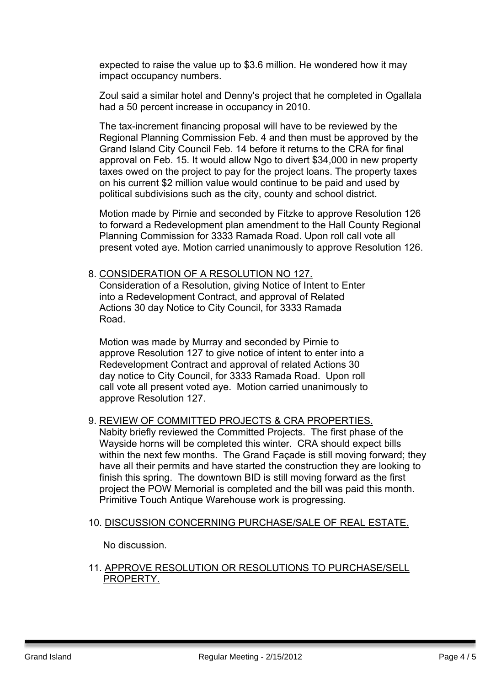expected to raise the value up to \$3.6 million. He wondered how it may impact occupancy numbers.

Zoul said a similar hotel and Denny's project that he completed in Ogallala had a 50 percent increase in occupancy in 2010.

The tax-increment financing proposal will have to be reviewed by the Regional Planning Commission Feb. 4 and then must be approved by the Grand Island City Council Feb. 14 before it returns to the CRA for final approval on Feb. 15. It would allow Ngo to divert \$34,000 in new property taxes owed on the project to pay for the project loans. The property taxes on his current \$2 million value would continue to be paid and used by political subdivisions such as the city, county and school district.

Motion made by Pirnie and seconded by Fitzke to approve Resolution 126 to forward a Redevelopment plan amendment to the Hall County Regional Planning Commission for 3333 Ramada Road. Upon roll call vote all present voted aye. Motion carried unanimously to approve Resolution 126.

8. CONSIDERATION OF A RESOLUTION NO 127. Consideration of a Resolution, giving Notice of Intent to Enter into a Redevelopment Contract, and approval of Related Actions 30 day Notice to City Council, for 3333 Ramada Road.

Motion was made by Murray and seconded by Pirnie to approve Resolution 127 to give notice of intent to enter into a Redevelopment Contract and approval of related Actions 30 day notice to City Council, for 3333 Ramada Road. Upon roll call vote all present voted aye. Motion carried unanimously to approve Resolution 127.

#### 9. REVIEW OF COMMITTED PROJECTS & CRA PROPERTIES.

 Nabity briefly reviewed the Committed Projects. The first phase of the Wayside horns will be completed this winter. CRA should expect bills within the next few months. The Grand Façade is still moving forward; they have all their permits and have started the construction they are looking to finish this spring. The downtown BID is still moving forward as the first project the POW Memorial is completed and the bill was paid this month. Primitive Touch Antique Warehouse work is progressing.

10. DISCUSSION CONCERNING PURCHASE/SALE OF REAL ESTATE.

No discussion.

11. APPROVE RESOLUTION OR RESOLUTIONS TO PURCHASE/SELL PROPERTY.